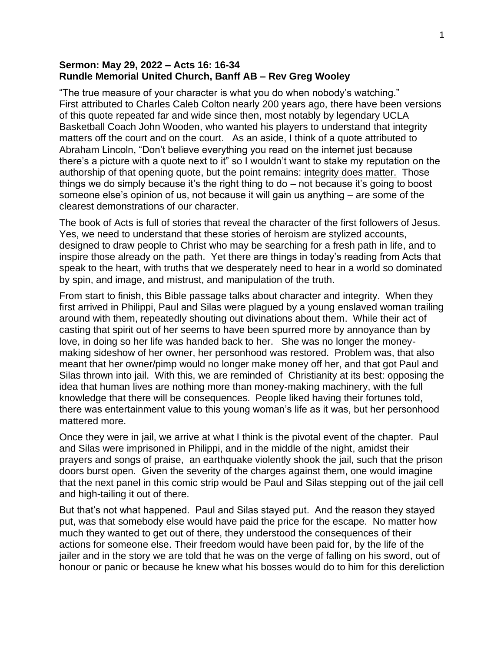## **Sermon: May 29, 2022 – Acts 16: 16-34 Rundle Memorial United Church, Banff AB – Rev Greg Wooley**

"The true measure of your character is what you do when nobody's watching." First attributed to Charles Caleb Colton nearly 200 years ago, there have been versions of this quote repeated far and wide since then, most notably by legendary UCLA Basketball Coach John Wooden, who wanted his players to understand that integrity matters off the court and on the court. As an aside, I think of a quote attributed to Abraham Lincoln, "Don't believe everything you read on the internet just because there's a picture with a quote next to it" so I wouldn't want to stake my reputation on the authorship of that opening quote, but the point remains: integrity does matter. Those things we do simply because it's the right thing to do – not because it's going to boost someone else's opinion of us, not because it will gain us anything – are some of the clearest demonstrations of our character.

The book of Acts is full of stories that reveal the character of the first followers of Jesus. Yes, we need to understand that these stories of heroism are stylized accounts, designed to draw people to Christ who may be searching for a fresh path in life, and to inspire those already on the path. Yet there are things in today's reading from Acts that speak to the heart, with truths that we desperately need to hear in a world so dominated by spin, and image, and mistrust, and manipulation of the truth.

From start to finish, this Bible passage talks about character and integrity. When they first arrived in Philippi, Paul and Silas were plagued by a young enslaved woman trailing around with them, repeatedly shouting out divinations about them. While their act of casting that spirit out of her seems to have been spurred more by annoyance than by love, in doing so her life was handed back to her. She was no longer the moneymaking sideshow of her owner, her personhood was restored. Problem was, that also meant that her owner/pimp would no longer make money off her, and that got Paul and Silas thrown into jail. With this, we are reminded of Christianity at its best: opposing the idea that human lives are nothing more than money-making machinery, with the full knowledge that there will be consequences. People liked having their fortunes told, there was entertainment value to this young woman's life as it was, but her personhood mattered more.

Once they were in jail, we arrive at what I think is the pivotal event of the chapter. Paul and Silas were imprisoned in Philippi, and in the middle of the night, amidst their prayers and songs of praise, an earthquake violently shook the jail, such that the prison doors burst open. Given the severity of the charges against them, one would imagine that the next panel in this comic strip would be Paul and Silas stepping out of the jail cell and high-tailing it out of there.

But that's not what happened. Paul and Silas stayed put. And the reason they stayed put, was that somebody else would have paid the price for the escape. No matter how much they wanted to get out of there, they understood the consequences of their actions for someone else. Their freedom would have been paid for, by the life of the jailer and in the story we are told that he was on the verge of falling on his sword, out of honour or panic or because he knew what his bosses would do to him for this dereliction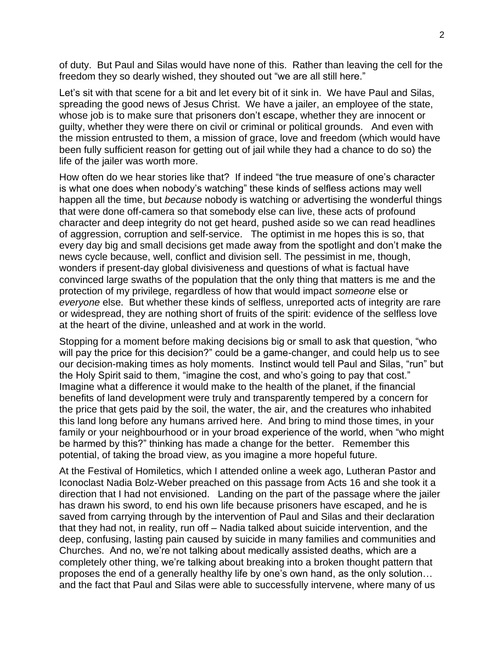of duty. But Paul and Silas would have none of this. Rather than leaving the cell for the freedom they so dearly wished, they shouted out "we are all still here."

Let's sit with that scene for a bit and let every bit of it sink in. We have Paul and Silas, spreading the good news of Jesus Christ. We have a jailer, an employee of the state, whose job is to make sure that prisoners don't escape, whether they are innocent or guilty, whether they were there on civil or criminal or political grounds. And even with the mission entrusted to them, a mission of grace, love and freedom (which would have been fully sufficient reason for getting out of jail while they had a chance to do so) the life of the jailer was worth more.

How often do we hear stories like that? If indeed "the true measure of one's character is what one does when nobody's watching" these kinds of selfless actions may well happen all the time, but *because* nobody is watching or advertising the wonderful things that were done off-camera so that somebody else can live, these acts of profound character and deep integrity do not get heard, pushed aside so we can read headlines of aggression, corruption and self-service. The optimist in me hopes this is so, that every day big and small decisions get made away from the spotlight and don't make the news cycle because, well, conflict and division sell. The pessimist in me, though, wonders if present-day global divisiveness and questions of what is factual have convinced large swaths of the population that the only thing that matters is me and the protection of my privilege, regardless of how that would impact *someone* else or *everyone* else. But whether these kinds of selfless, unreported acts of integrity are rare or widespread, they are nothing short of fruits of the spirit: evidence of the selfless love at the heart of the divine, unleashed and at work in the world.

Stopping for a moment before making decisions big or small to ask that question, "who will pay the price for this decision?" could be a game-changer, and could help us to see our decision-making times as holy moments. Instinct would tell Paul and Silas, "run" but the Holy Spirit said to them, "imagine the cost, and who's going to pay that cost." Imagine what a difference it would make to the health of the planet, if the financial benefits of land development were truly and transparently tempered by a concern for the price that gets paid by the soil, the water, the air, and the creatures who inhabited this land long before any humans arrived here. And bring to mind those times, in your family or your neighbourhood or in your broad experience of the world, when "who might be harmed by this?" thinking has made a change for the better. Remember this potential, of taking the broad view, as you imagine a more hopeful future.

At the Festival of Homiletics, which I attended online a week ago, Lutheran Pastor and Iconoclast Nadia Bolz-Weber preached on this passage from Acts 16 and she took it a direction that I had not envisioned. Landing on the part of the passage where the jailer has drawn his sword, to end his own life because prisoners have escaped, and he is saved from carrying through by the intervention of Paul and Silas and their declaration that they had not, in reality, run off – Nadia talked about suicide intervention, and the deep, confusing, lasting pain caused by suicide in many families and communities and Churches. And no, we're not talking about medically assisted deaths, which are a completely other thing, we're talking about breaking into a broken thought pattern that proposes the end of a generally healthy life by one's own hand, as the only solution… and the fact that Paul and Silas were able to successfully intervene, where many of us